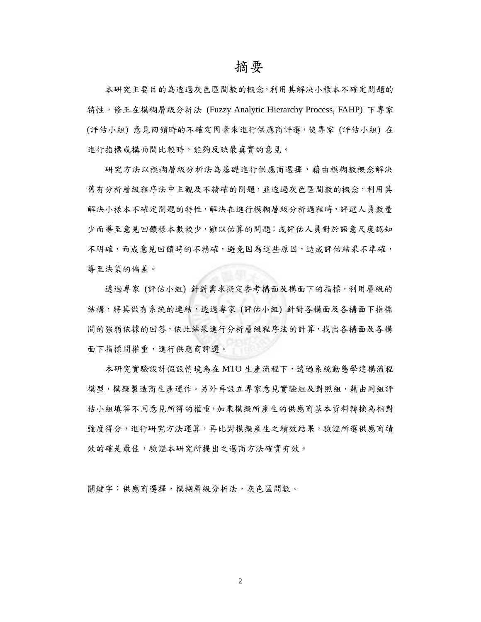## 摘要

本研究主要目的為透過灰色區間數的概念,利用其解決小樣本不確定問題的 特性,修正在模糊層級分析法 (Fuzzy Analytic Hierarchy Process, FAHP) 下專家 (評估小組) 意見回饋時的不確定因素來進行供應商評選,使專家 (評估小組) 在 進行指標或構面間比較時,能夠反映最真實的意見。

研究方法以模糊層級分析法為基礎進行供應商選擇,藉由模糊數概念解決 舊有分析層級程序法中主觀及不精確的問題,並透過灰色區間數的概念,利用其 解決小樣本不確定問題的特性,解決在進行模糊層級分析過程時,評選人員數量 少而導至意見回饋樣本數較少,難以估算的問題;或評估人員對於語意尺度認知 不明確,而成意見回饋時的不精確,避免因為這些原因,造成評估結果不準確, 導至決策的偏差。

透過專家 (評估小組) 針對需求擬定參考構面及構面下的指標,利用層級的 結構,將其做有系統的連結,透過專家 (評估小組) 針對各構面及各構面下指標 間的強弱依據的回答,依此結果進行分析層級程序法的計算,找出各構面及各構 面下指標間權重,進行供應商評選。

本研究實驗設計假設情境為在 MTO 生產流程下,透過系統動態學建構流程 模型,模擬製造商生產運作。另外再設立專家意見實驗組及對照組,藉由同組評 估小組填答不同意見所得的權重,加乘模擬所產生的供應商基本資料轉換為相對 強度得分,進行研究方法運算,再比對模擬產生之績效結果,驗證所選供應商績 效的確是最佳,驗證本研究所提出之選商方法確實有效。

關鍵字:供應商選擇,模糊層級分析法,灰色區間數。